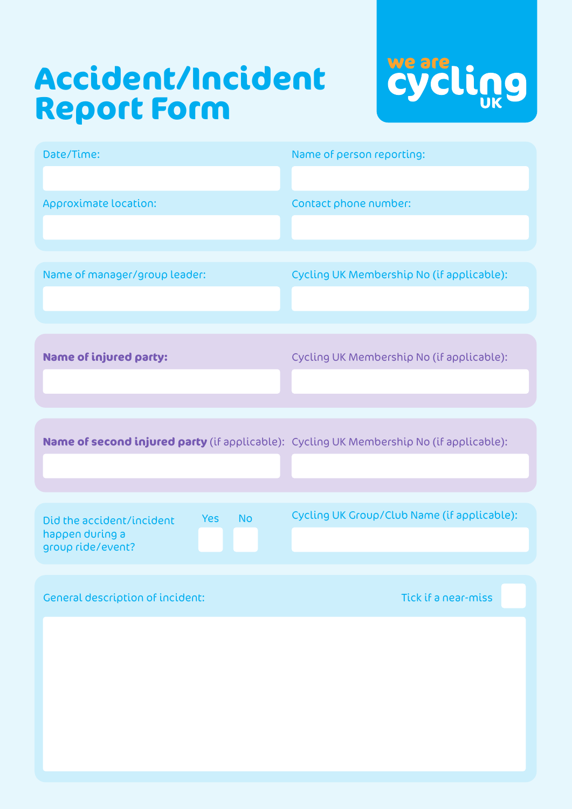# **Accident/Incident Report Form**



| Date/Time:                                                                                   | Name of person reporting:                   |
|----------------------------------------------------------------------------------------------|---------------------------------------------|
| Approximate location:                                                                        | Contact phone number:                       |
| Name of manager/group leader:                                                                | Cycling UK Membership No (if applicable):   |
| <b>Name of injured party:</b>                                                                | Cycling UK Membership No (if applicable):   |
| Name of second injured party (if applicable): Cycling UK Membership No (if applicable):      |                                             |
| <b>No</b><br><b>Yes</b><br>Did the accident/incident<br>happen during a<br>group ride/event? | Cycling UK Group/Club Name (if applicable): |
| <b>General description of incident:</b>                                                      | Tick if a near-miss                         |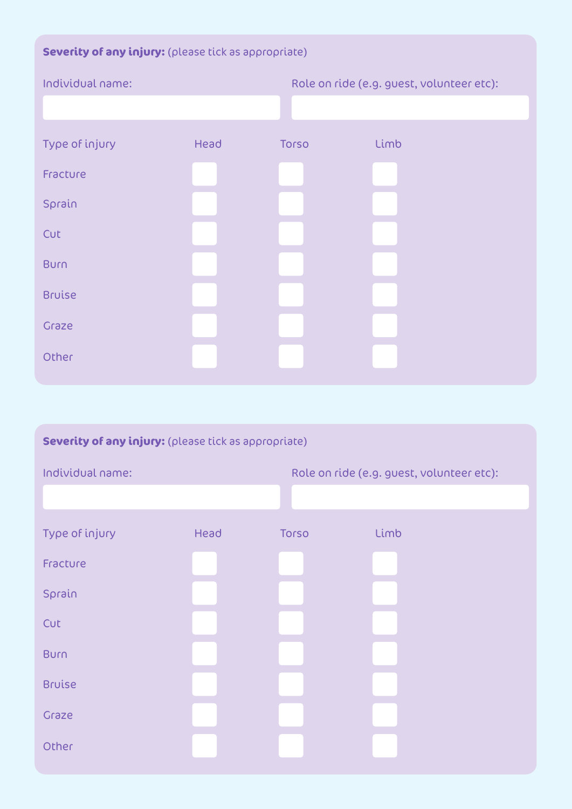# **Severity of any injury:** (please tick as appropriate)

| Individual name: |      | Role on ride (e.g. guest, volunteer etc): |      |
|------------------|------|-------------------------------------------|------|
|                  |      |                                           |      |
| Type of injury   | Head | <b>Torso</b>                              | Limb |
| Fracture         |      |                                           |      |
| Sprain           |      |                                           |      |
| Cut              |      |                                           |      |
| <b>Burn</b>      |      |                                           |      |
| <b>Bruise</b>    |      |                                           |      |
| Graze            |      |                                           |      |
| Other            |      |                                           |      |

| Severity of any injury: (please tick as appropriate) |      |              |                                           |  |
|------------------------------------------------------|------|--------------|-------------------------------------------|--|
| Individual name:                                     |      |              | Role on ride (e.g. guest, volunteer etc): |  |
|                                                      |      |              |                                           |  |
| Type of injury                                       | Head | <b>Torso</b> | Limb                                      |  |
| Fracture                                             |      |              |                                           |  |
| Sprain                                               |      |              |                                           |  |
| Cut                                                  |      |              |                                           |  |
| <b>Burn</b>                                          |      |              |                                           |  |
| <b>Bruise</b>                                        |      |              |                                           |  |
| Graze                                                |      |              |                                           |  |
| Other                                                |      |              |                                           |  |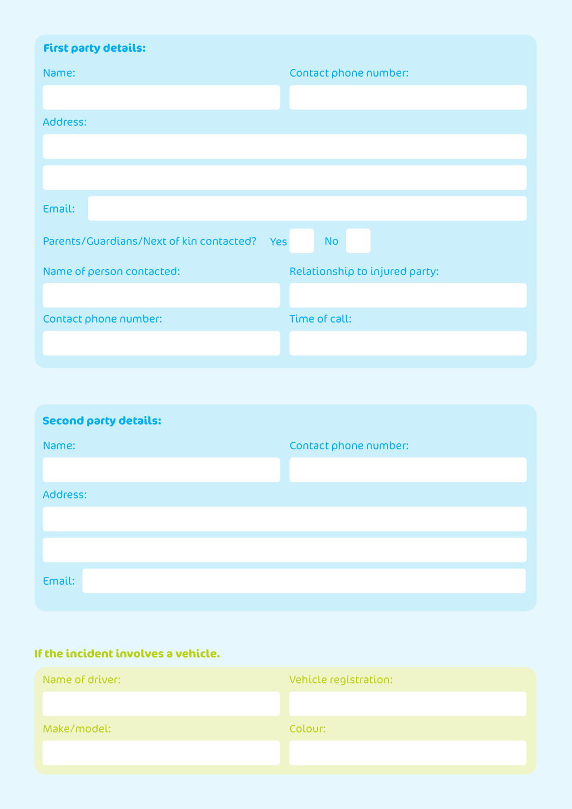| <b>First party details:</b>                     |                                |
|-------------------------------------------------|--------------------------------|
| Name:                                           | Contact phone number:          |
|                                                 |                                |
| Address:                                        |                                |
|                                                 |                                |
|                                                 |                                |
| Email:                                          |                                |
| Parents/Guardians/Next of kin contacted?<br>Yes | <b>No</b>                      |
| Name of person contacted:                       | Relationship to injured party: |
|                                                 |                                |
| Contact phone number:                           | Time of call:                  |
|                                                 |                                |

| <b>Second party details:</b> |                       |  |  |
|------------------------------|-----------------------|--|--|
| Name:                        | Contact phone number: |  |  |
|                              |                       |  |  |
| Address:                     |                       |  |  |
|                              |                       |  |  |
|                              |                       |  |  |
|                              |                       |  |  |
| Email:                       |                       |  |  |

## **If the incident involves a vehicle.**

| Name of driver: | Vehicle registration: |
|-----------------|-----------------------|
|                 |                       |
| Make/model:     | Colour:               |
|                 |                       |